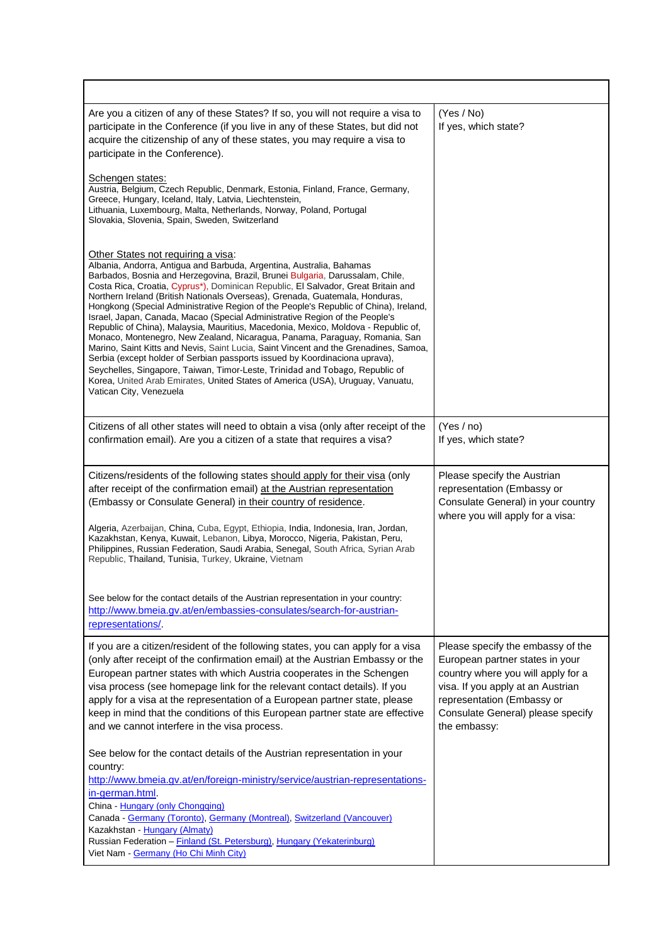| Are you a citizen of any of these States? If so, you will not require a visa to<br>participate in the Conference (if you live in any of these States, but did not<br>acquire the citizenship of any of these states, you may require a visa to<br>participate in the Conference).                                                                                                                                                                                                                                                                                                                                                                                                                                                                                                                                                                                                                                                                                                                                                                                               | (Yes / No)<br>If yes, which state?                                                                                                                                                                                                 |
|---------------------------------------------------------------------------------------------------------------------------------------------------------------------------------------------------------------------------------------------------------------------------------------------------------------------------------------------------------------------------------------------------------------------------------------------------------------------------------------------------------------------------------------------------------------------------------------------------------------------------------------------------------------------------------------------------------------------------------------------------------------------------------------------------------------------------------------------------------------------------------------------------------------------------------------------------------------------------------------------------------------------------------------------------------------------------------|------------------------------------------------------------------------------------------------------------------------------------------------------------------------------------------------------------------------------------|
| Schengen states:<br>Austria, Belgium, Czech Republic, Denmark, Estonia, Finland, France, Germany,<br>Greece, Hungary, Iceland, Italy, Latvia, Liechtenstein,<br>Lithuania, Luxembourg, Malta, Netherlands, Norway, Poland, Portugal<br>Slovakia, Slovenia, Spain, Sweden, Switzerland                                                                                                                                                                                                                                                                                                                                                                                                                                                                                                                                                                                                                                                                                                                                                                                           |                                                                                                                                                                                                                                    |
| Other States not requiring a visa:<br>Albania, Andorra, Antigua and Barbuda, Argentina, Australia, Bahamas<br>Barbados, Bosnia and Herzegovina, Brazil, Brunei Bulgaria, Darussalam, Chile,<br>Costa Rica, Croatia, Cyprus*), Dominican Republic, El Salvador, Great Britain and<br>Northern Ireland (British Nationals Overseas), Grenada, Guatemala, Honduras,<br>Hongkong (Special Administrative Region of the People's Republic of China), Ireland,<br>Israel, Japan, Canada, Macao (Special Administrative Region of the People's<br>Republic of China), Malaysia, Mauritius, Macedonia, Mexico, Moldova - Republic of,<br>Monaco, Montenegro, New Zealand, Nicaragua, Panama, Paraguay, Romania, San<br>Marino, Saint Kitts and Nevis, Saint Lucia, Saint Vincent and the Grenadines, Samoa,<br>Serbia (except holder of Serbian passports issued by Koordinaciona uprava),<br>Seychelles, Singapore, Taiwan, Timor-Leste, Trinidad and Tobago, Republic of<br>Korea, United Arab Emirates, United States of America (USA), Uruguay, Vanuatu,<br>Vatican City, Venezuela |                                                                                                                                                                                                                                    |
| Citizens of all other states will need to obtain a visa (only after receipt of the<br>confirmation email). Are you a citizen of a state that requires a visa?                                                                                                                                                                                                                                                                                                                                                                                                                                                                                                                                                                                                                                                                                                                                                                                                                                                                                                                   | (Yes / no)<br>If yes, which state?                                                                                                                                                                                                 |
| Citizens/residents of the following states should apply for their visa (only<br>after receipt of the confirmation email) at the Austrian representation<br>(Embassy or Consulate General) in their country of residence.<br>Algeria, Azerbaijan, China, Cuba, Egypt, Ethiopia, India, Indonesia, Iran, Jordan,<br>Kazakhstan, Kenya, Kuwait, Lebanon, Libya, Morocco, Nigeria, Pakistan, Peru,<br>Philippines, Russian Federation, Saudi Arabia, Senegal, South Africa, Syrian Arab<br>Republic, Thailand, Tunisia, Turkey, Ukraine, Vietnam                                                                                                                                                                                                                                                                                                                                                                                                                                                                                                                                    | Please specify the Austrian<br>representation (Embassy or<br>Consulate General) in your country<br>where you will apply for a visa:                                                                                                |
| See below for the contact details of the Austrian representation in your country:<br>http://www.bmeia.gv.at/en/embassies-consulates/search-for-austrian-<br>representations/.                                                                                                                                                                                                                                                                                                                                                                                                                                                                                                                                                                                                                                                                                                                                                                                                                                                                                                   |                                                                                                                                                                                                                                    |
| If you are a citizen/resident of the following states, you can apply for a visa<br>(only after receipt of the confirmation email) at the Austrian Embassy or the<br>European partner states with which Austria cooperates in the Schengen<br>visa process (see homepage link for the relevant contact details). If you<br>apply for a visa at the representation of a European partner state, please<br>keep in mind that the conditions of this European partner state are effective<br>and we cannot interfere in the visa process.                                                                                                                                                                                                                                                                                                                                                                                                                                                                                                                                           | Please specify the embassy of the<br>European partner states in your<br>country where you will apply for a<br>visa. If you apply at an Austrian<br>representation (Embassy or<br>Consulate General) please specify<br>the embassy: |
| See below for the contact details of the Austrian representation in your<br>country:<br>http://www.bmeia.gv.at/en/foreign-ministry/service/austrian-representations-<br>in-german.html.<br>China - Hungary (only Chongqing)<br>Canada - Germany (Toronto), Germany (Montreal), Switzerland (Vancouver)                                                                                                                                                                                                                                                                                                                                                                                                                                                                                                                                                                                                                                                                                                                                                                          |                                                                                                                                                                                                                                    |
| Kazakhstan - Hungary (Almaty)<br>Russian Federation - Finland (St. Petersburg), Hungary (Yekaterinburg)<br>Viet Nam - Germany (Ho Chi Minh City)                                                                                                                                                                                                                                                                                                                                                                                                                                                                                                                                                                                                                                                                                                                                                                                                                                                                                                                                |                                                                                                                                                                                                                                    |

r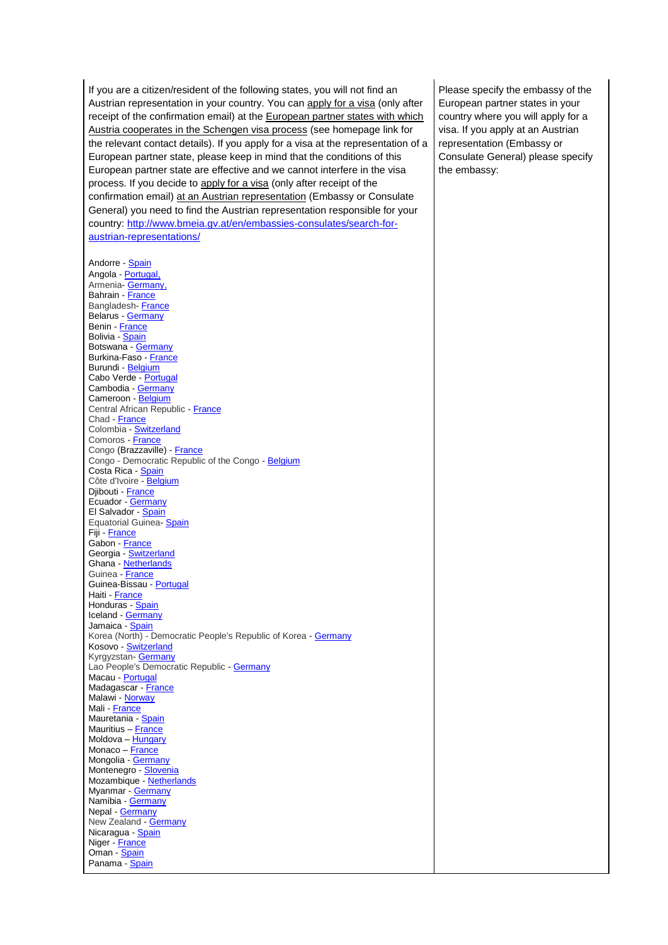If you are a citizen/resident of the following states, you will not find an Austrian representation in your country. You can apply for a visa (only after receipt of the confirmation email) at the European partner states with which Austria cooperates in the Schengen visa process (see homepage link for the relevant contact details). If you apply for a visa at the representation of a European partner state, please keep in mind that the conditions of this European partner state are effective and we cannot interfere in the visa process. If you decide to apply for a visa (only after receipt of the confirmation email) at an Austrian representation (Embassy or Consulate General) you need to find the Austrian representation responsible for your country: [http://www.bmeia.gv.at/en/embassies-consulates/search-for](http://www.bmeia.gv.at/en/embassies-consulates/search-for-austrian-representations/)[austrian-representations/](http://www.bmeia.gv.at/en/embassies-consulates/search-for-austrian-representations/)

Andorre - [Spain](http://www.exteriores.gob.es/Embajadas/Andorra/en/Pages/inicio.aspx) Angola - [Portugal,](http://www.embaixadadeportugal-luanda.com.pt/)  Armenia- Germany, Bahrain [France](http://www.ambafrance-bh.org/) Bangladesh- [France](http://www.ambafrance-bd.org/) Belarus - [Germany](http://www.minsk.diplo.de/) Benin - [France](http://www.ambafrance-bj.org/) Bolivia - [Spain](http://www.exteriores.gob.es/Embajadas/LaPaz/es/Paginas/inicio.aspx) Botswana - [Germany](http://www.gaborone.diplo.de/) Burkina-Faso - [France](http://www.ambafrance-bf.org/) Burundi - [Belgium](http://www.diplomatie.be/bujumbura) Cabo Verde - [Portugal](http://www.secomunidades.pt/web/praia) Cambodia - [Germany](http://www.phnom-penh.diplo.de/) Cameroon - [Belgium](http://www.diplomatie.be/yaounde) Central African Republic - [France](http://lannuaire.service-public.fr/services_nationaux/ambassade-ou-mission-diplomatique_172205.html) Chad - [France](http://www.ambafrance-td.org/) Colombia - [Switzerland](http://www.eda.admin.ch/bogota) Comoros - [France](http://www.ambafrance-km.org/) Congo (Brazzaville) - [France](http://www.ambafrance-cg.org/) Congo - Democratic Republic of the Congo - [Belgium](http://www.diplomatie.be/kinshasafr/) Costa Rica - [Spain](http://www.exteriores.gob.es/Embajadas/SANJOSEDECOSTARICA/en/Pages/inicio.aspx) Côte d'Ivoire - [Belgium](http://www.diplomatie.be/abidjan) Djibouti - [France](http://www.ambafrance-dj.org/) Ecuador - [Germany](http://www.quito.diplo.de/) El Salvador - [Spain](http://www.maec.es/subwebs/Embajadas/SanSalvador/es/home/Paginas/home_sansalvador.aspx) Equatorial Guinea- [Spain](http://www.exteriores.gob.es/Embajadas/Malabo/en/Pages/inicio.aspx) Fiji - [France](http://www.ambafrance-fj.org/) Gabon - [France](http://ambafrance-ga.org/) Georgia - [Switzerland](http://www.eda.admin.ch/tbilisi) Ghana - [Netherlands](http://ghana.nlembassy.org/) Guinea - [France](http://www.ambafrance-gn.org/) Guinea-Bissau - [Portugal](http://www.secomunidades.pt/web/bissau) Haiti - [France](http://www.ambafrance-ht.org/) Honduras - [Spain](http://www.exteriores.gob.es/Embajadas/Tegucigalpa/es/Paginas/inicio.aspx) Iceland - [Germany](http://www.reykjavik.diplo.de/) Jamaica - [Spain](http://www.exteriores.gob.es/Embajadas/KINGSTON/en/Pages/inicio.aspx) Korea (North) - Democratic People's Republic of Korea - [Germany](http://www.auswaertiges-amt.de/diplo/de/Laenderinformationen/01-Laender/DeutscheAVen/Korea_28DemokratischeVolksrepublik_2CNordkorea_29/DeutscheVertretungen.html) Kosovo - [Switzerland](http://www.eda.admin.ch/pristina) Kyrgyzstan **[Germany](http://www.bischkek.diplo.de/)** Lao People's Democratic Republic - [Germany](http://www.vientiane.diplo.de/) Macau - [Portugal](http://www.secomunidades.pt/web/macau) Madagascar - [France](http://www.ambafrance-mada.org/) Malawi - [Norway](http://www.norway.mw/Embassy/) Mali - [France](http://www.ambafrance-ml.org/) Mauretania - [Spain](http://www.exteriores.gob.es/Embajadas/NOUAKCHOTT/es/Paginas/inicio.aspx) Mauritius – [France](http://www.ambafrance-mu.org/) Moldova - [Hungary](http://www.cac.md/) Monaco – [France](http://www.ambafrance-mc.org/) Mongolia [Germany](http://www.ulan-bator.diplo.de/) Montenegro - [Slovenia](http://podgorica.embassy.si/) Mozambique - [Netherlands](http://mozambique.nlembassy.org/) Myanmar - [Germany](http://www.rangun.diplo.de/) Namibia - [Germany](http://www.windhuk.diplo.de/) Nepal - [Germany](http://www.kathmandu.diplo.de/) New Zealand - [Germany](http://www.wellington.diplo.de/) Nicaragua - [Spain](http://www.exteriores.gob.es/Embajadas/Managua/es/Paginas/inicio.aspx) Niger - [France](http://www.ambafrance-ne.org/) Oman - [Spain](http://www.exteriores.gob.es/Embajadas/MASCATE/en/VivirEn/Pages/inicio.aspx) Panama - [Spain](http://www.exteriores.gob.es/Embajadas/Panama/es/Paginas/inicio.aspx)

Please specify the embassy of the European partner states in your country where you will apply for a visa. If you apply at an Austrian representation (Embassy or Consulate General) please specify the embassy: